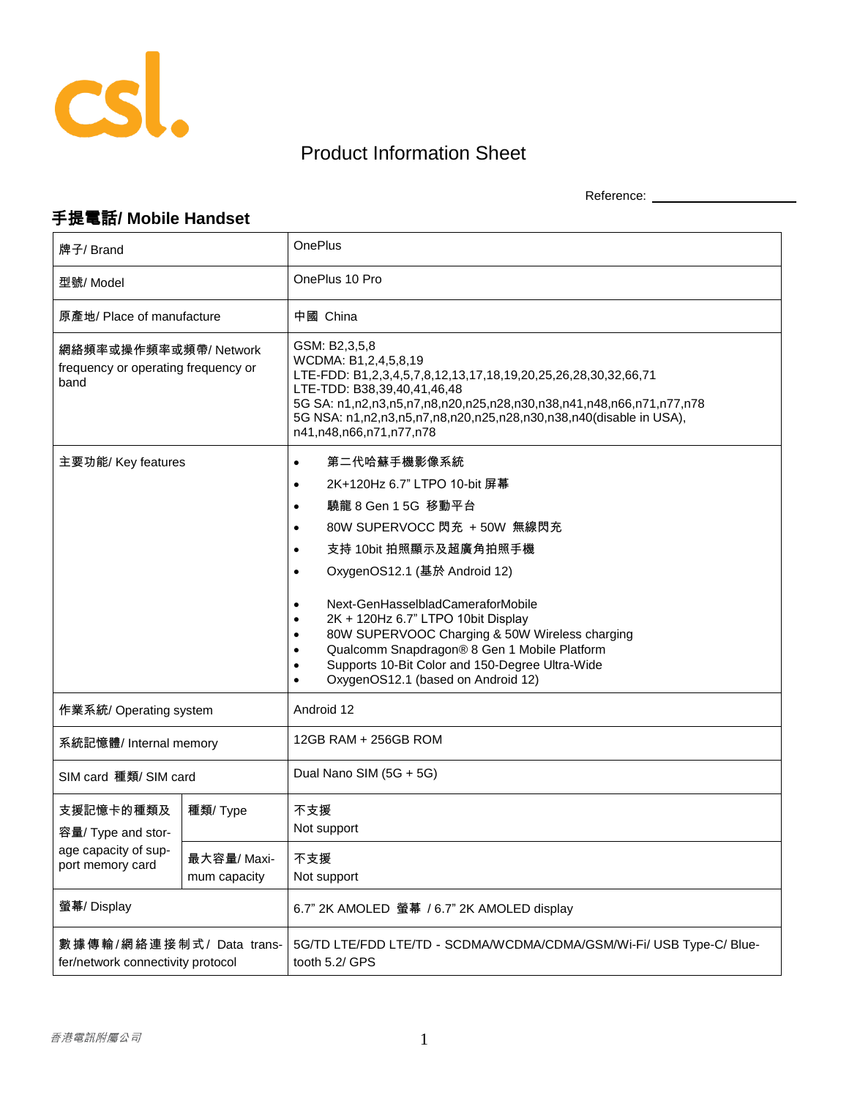

## Product Information Sheet

Reference: \_\_\_\_\_\_\_\_\_\_\_\_\_\_\_\_\_\_\_\_

## 手提電話**/ Mobile Handset**

| 牌子/ Brand                                                                   |                            | <b>OnePlus</b>                                                                                                                                                                                                                                                                                                                                                                                                                                                                                                                                                   |
|-----------------------------------------------------------------------------|----------------------------|------------------------------------------------------------------------------------------------------------------------------------------------------------------------------------------------------------------------------------------------------------------------------------------------------------------------------------------------------------------------------------------------------------------------------------------------------------------------------------------------------------------------------------------------------------------|
| 型號/Model                                                                    |                            | OnePlus 10 Pro                                                                                                                                                                                                                                                                                                                                                                                                                                                                                                                                                   |
| 原產地/ Place of manufacture                                                   |                            | 中國 China                                                                                                                                                                                                                                                                                                                                                                                                                                                                                                                                                         |
| 網絡頻率或操作頻率或頻帶/Network<br>frequency or operating frequency or<br>band         |                            | GSM: B2,3,5,8<br>WCDMA: B1,2,4,5,8,19<br>LTE-FDD: B1,2,3,4,5,7,8,12,13,17,18,19,20,25,26,28,30,32,66,71<br>LTE-TDD: B38,39,40,41,46,48<br>5G SA: n1,n2,n3,n5,n7,n8,n20,n25,n28,n30,n38,n41,n48,n66,n71,n77,n78<br>5G NSA: n1,n2,n3,n5,n7,n8,n20,n25,n28,n30,n38,n40(disable in USA),<br>n41,n48,n66,n71,n77,n78                                                                                                                                                                                                                                                  |
| 主要功能/ Key features                                                          |                            | 第二代哈蘇手機影像系統<br>$\bullet$<br>2K+120Hz 6.7" LTPO 10-bit 屏幕<br>$\bullet$<br>驍龍 8 Gen 1 5G 移動平台<br>$\bullet$<br>80W SUPERVOCC 閃充 +50W 無線閃充<br>$\bullet$<br>支持 10bit 拍照顯示及超廣角拍照手機<br>$\bullet$<br>OxygenOS12.1 (基於 Android 12)<br>$\bullet$<br>Next-GenHasselbladCameraforMobile<br>$\bullet$<br>2K + 120Hz 6.7" LTPO 10bit Display<br>$\bullet$<br>80W SUPERVOOC Charging & 50W Wireless charging<br>$\bullet$<br>Qualcomm Snapdragon® 8 Gen 1 Mobile Platform<br>$\bullet$<br>Supports 10-Bit Color and 150-Degree Ultra-Wide<br>OxygenOS12.1 (based on Android 12) |
| 作業系統/ Operating system                                                      |                            | Android 12                                                                                                                                                                                                                                                                                                                                                                                                                                                                                                                                                       |
| 系統記憶體/Internal memory                                                       |                            | 12GB RAM + 256GB ROM                                                                                                                                                                                                                                                                                                                                                                                                                                                                                                                                             |
| SIM card 種類/ SIM card                                                       |                            | Dual Nano SIM (5G + 5G)                                                                                                                                                                                                                                                                                                                                                                                                                                                                                                                                          |
| 支援記憶卡的種類及<br>容量/ Type and stor-<br>age capacity of sup-<br>port memory card | 種類/ Type                   | 不支援<br>Not support                                                                                                                                                                                                                                                                                                                                                                                                                                                                                                                                               |
|                                                                             | 最大容量/Maxi-<br>mum capacity | 不支援<br>Not support                                                                                                                                                                                                                                                                                                                                                                                                                                                                                                                                               |
| 螢幕/ Display                                                                 |                            | 6.7" 2K AMOLED 螢幕 / 6.7" 2K AMOLED display                                                                                                                                                                                                                                                                                                                                                                                                                                                                                                                       |
| 數據傳輸/網絡連接制式/ Data trans-<br>fer/network connectivity protocol               |                            | 5G/TD LTE/FDD LTE/TD - SCDMA/WCDMA/CDMA/GSM/Wi-Fi/ USB Type-C/ Blue-<br>tooth 5.2/ GPS                                                                                                                                                                                                                                                                                                                                                                                                                                                                           |